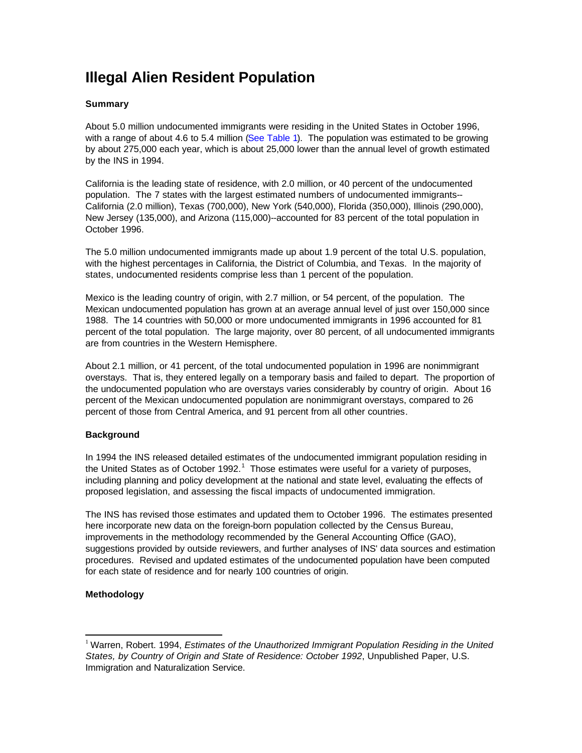# **Illegal Alien Resident Population**

# **Summary**

About 5.0 million undocumented immigrants were residing in the United States in October 1996, with a range of about 4.6 to 5.4 million [\(See Table 1\)](#page-5-0). The population was estimated to be growing by about 275,000 each year, which is about 25,000 lower than the annual level of growth estimated by the INS in 1994.

California is the leading state of residence, with 2.0 million, or 40 percent of the undocumented population. The 7 states with the largest estimated numbers of undocumented immigrants-- California (2.0 million), Texas (700,000), New York (540,000), Florida (350,000), Illinois (290,000), New Jersey (135,000), and Arizona (115,000)--accounted for 83 percent of the total population in October 1996.

The 5.0 million undocumented immigrants made up about 1.9 percent of the total U.S. population, with the highest percentages in California, the District of Columbia, and Texas. In the majority of states, undocumented residents comprise less than 1 percent of the population.

Mexico is the leading country of origin, with 2.7 million, or 54 percent, of the population. The Mexican undocumented population has grown at an average annual level of just over 150,000 since 1988. The 14 countries with 50,000 or more undocumented immigrants in 1996 accounted for 81 percent of the total population. The large majority, over 80 percent, of all undocumented immigrants are from countries in the Western Hemisphere.

About 2.1 million, or 41 percent, of the total undocumented population in 1996 are nonimmigrant overstays. That is, they entered legally on a temporary basis and failed to depart. The proportion of the undocumented population who are overstays varies considerably by country of origin. About 16 percent of the Mexican undocumented population are nonimmigrant overstays, compared to 26 percent of those from Central America, and 91 percent from all other countries.

# **Background**

In 1994 the INS released detailed estimates of the undocumented immigrant population residing in the United States as of October 1992.<sup>1</sup> Those estimates were useful for a variety of purposes, including planning and policy development at the national and state level, evaluating the effects of proposed legislation, and assessing the fiscal impacts of undocumented immigration.

The INS has revised those estimates and updated them to October 1996. The estimates presented here incorporate new data on the foreign-born population collected by the Census Bureau, improvements in the methodology recommended by the General Accounting Office (GAO), suggestions provided by outside reviewers, and further analyses of INS' data sources and estimation procedures. Revised and updated estimates of the undocumented population have been computed for each state of residence and for nearly 100 countries of origin.

# **Methodology**

l

<sup>&</sup>lt;sup>1</sup> Warren, Robert. 1994, *Estimates of the Unauthorized Immigrant Population Residing in the United States, by Country of Origin and State of Residence: October 1992*, Unpublished Paper, U.S. Immigration and Naturalization Service.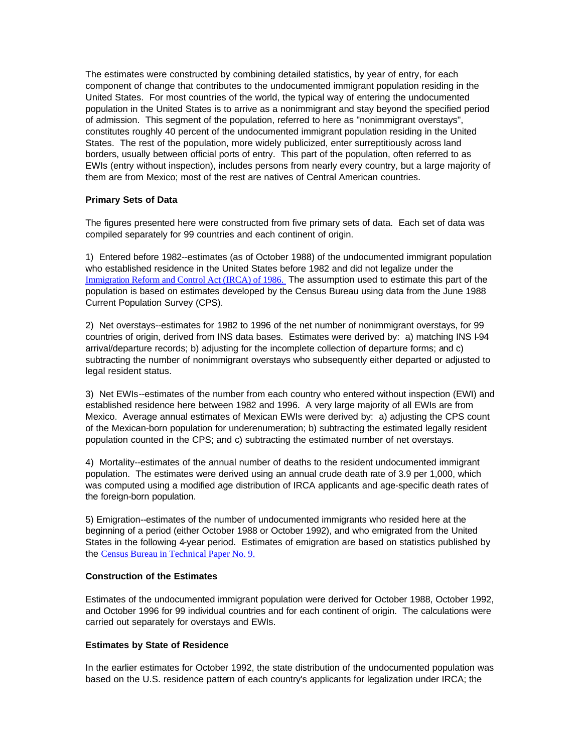The estimates were constructed by combining detailed statistics, by year of entry, for each component of change that contributes to the undocumented immigrant population residing in the United States. For most countries of the world, the typical way of entering the undocumented population in the United States is to arrive as a nonimmigrant and stay beyond the specified period of admission. This segment of the population, referred to here as "nonimmigrant overstays", constitutes roughly 40 percent of the undocumented immigrant population residing in the United States. The rest of the population, more widely publicized, enter surreptitiously across land borders, usually between official ports of entry. This part of the population, often referred to as EWIs (entry without inspection), includes persons from nearly every country, but a large majority of them are from Mexico; most of the rest are natives of Central American countries.

## **Primary Sets of Data**

The figures presented here were constructed from five primary sets of data. Each set of data was compiled separately for 99 countries and each continent of origin.

1) Entered before 1982--estimates (as of October 1988) of the undocumented immigrant population who established residence in the United States before 1982 and did not legalize under the [Immigration Reform and Control Act \(IRCA\) of 1986.](/graphics/aboutins/statistics/legishist/561.htm) The assumption used to estimate this part of the population is based on estimates developed by the Census Bureau using data from the June 1988 Current Population Survey (CPS).

2) Net overstays--estimates for 1982 to 1996 of the net number of nonimmigrant overstays, for 99 countries of origin, derived from INS data bases. Estimates were derived by: a) matching INS I-94 arrival/departure records; b) adjusting for the incomplete collection of departure forms; and c) subtracting the number of nonimmigrant overstays who subsequently either departed or adjusted to legal resident status.

3) Net EWIs--estimates of the number from each country who entered without inspection (EWI) and established residence here between 1982 and 1996. A very large majority of all EWIs are from Mexico. Average annual estimates of Mexican EWIs were derived by: a) adjusting the CPS count of the Mexican-born population for underenumeration; b) subtracting the estimated legally resident population counted in the CPS; and c) subtracting the estimated number of net overstays.

4) Mortality--estimates of the annual number of deaths to the resident undocumented immigrant population. The estimates were derived using an annual crude death rate of 3.9 per 1,000, which was computed using a modified age distribution of IRCA applicants and age-specific death rates of the foreign-born population.

5) Emigration--estimates of the number of undocumented immigrants who resided here at the beginning of a period (either October 1988 or October 1992), and who emigrated from the United States in the following 4-year period. Estimates of emigration are based on statistics published by the [Census Bureau in Technical Paper No. 9.](/graphics/exec/leaving.asp?http://www.census.gov/population/www/documentation/twps0009/twps0009.html)

## **Construction of the Estimates**

Estimates of the undocumented immigrant population were derived for October 1988, October 1992, and October 1996 for 99 individual countries and for each continent of origin. The calculations were carried out separately for overstays and EWIs.

## **Estimates by State of Residence**

In the earlier estimates for October 1992, the state distribution of the undocumented population was based on the U.S. residence pattern of each country's applicants for legalization under IRCA; the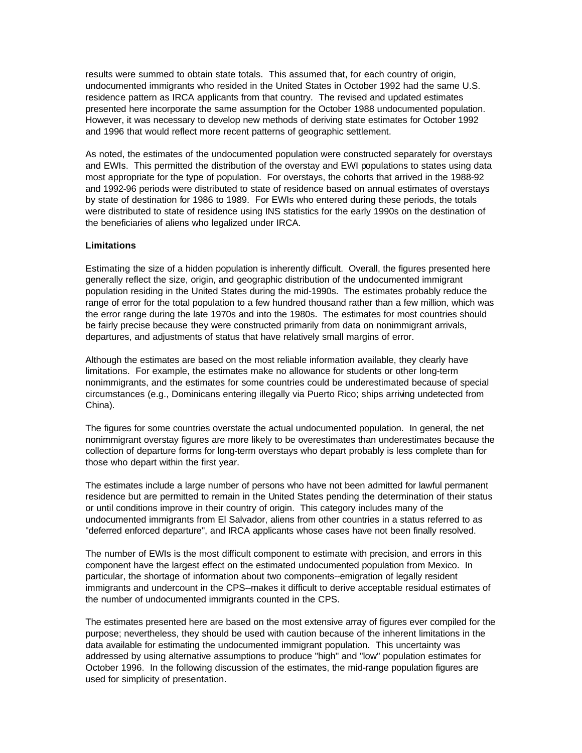results were summed to obtain state totals. This assumed that, for each country of origin, undocumented immigrants who resided in the United States in October 1992 had the same U.S. residence pattern as IRCA applicants from that country. The revised and updated estimates presented here incorporate the same assumption for the October 1988 undocumented population. However, it was necessary to develop new methods of deriving state estimates for October 1992 and 1996 that would reflect more recent patterns of geographic settlement.

As noted, the estimates of the undocumented population were constructed separately for overstays and EWIs. This permitted the distribution of the overstay and EWI populations to states using data most appropriate for the type of population. For overstays, the cohorts that arrived in the 1988-92 and 1992-96 periods were distributed to state of residence based on annual estimates of overstays by state of destination for 1986 to 1989. For EWIs who entered during these periods, the totals were distributed to state of residence using INS statistics for the early 1990s on the destination of the beneficiaries of aliens who legalized under IRCA.

#### **Limitations**

Estimating the size of a hidden population is inherently difficult. Overall, the figures presented here generally reflect the size, origin, and geographic distribution of the undocumented immigrant population residing in the United States during the mid-1990s. The estimates probably reduce the range of error for the total population to a few hundred thousand rather than a few million, which was the error range during the late 1970s and into the 1980s. The estimates for most countries should be fairly precise because they were constructed primarily from data on nonimmigrant arrivals, departures, and adjustments of status that have relatively small margins of error.

Although the estimates are based on the most reliable information available, they clearly have limitations. For example, the estimates make no allowance for students or other long-term nonimmigrants, and the estimates for some countries could be underestimated because of special circumstances (e.g., Dominicans entering illegally via Puerto Rico; ships arriving undetected from China).

The figures for some countries overstate the actual undocumented population. In general, the net nonimmigrant overstay figures are more likely to be overestimates than underestimates because the collection of departure forms for long-term overstays who depart probably is less complete than for those who depart within the first year.

The estimates include a large number of persons who have not been admitted for lawful permanent residence but are permitted to remain in the United States pending the determination of their status or until conditions improve in their country of origin. This category includes many of the undocumented immigrants from El Salvador, aliens from other countries in a status referred to as "deferred enforced departure", and IRCA applicants whose cases have not been finally resolved.

The number of EWIs is the most difficult component to estimate with precision, and errors in this component have the largest effect on the estimated undocumented population from Mexico. In particular, the shortage of information about two components--emigration of legally resident immigrants and undercount in the CPS--makes it difficult to derive acceptable residual estimates of the number of undocumented immigrants counted in the CPS.

The estimates presented here are based on the most extensive array of figures ever compiled for the purpose; nevertheless, they should be used with caution because of the inherent limitations in the data available for estimating the undocumented immigrant population. This uncertainty was addressed by using alternative assumptions to produce "high" and "low" population estimates for October 1996. In the following discussion of the estimates, the mid-range population figures are used for simplicity of presentation.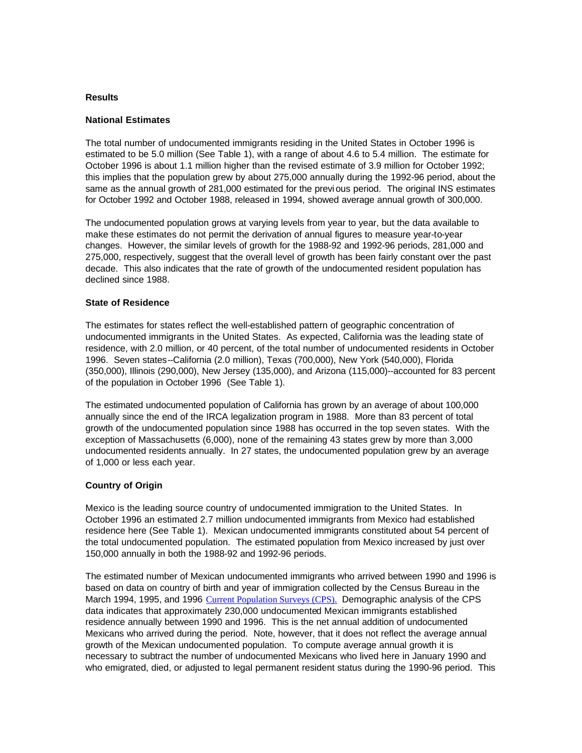#### **Results**

#### **National Estimates**

The total number of undocumented immigrants residing in the United States in October 1996 is estimated to be 5.0 million (See Table 1), with a range of about 4.6 to 5.4 million. The estimate for October 1996 is about 1.1 million higher than the revised estimate of 3.9 million for October 1992; this implies that the population grew by about 275,000 annually during the 1992-96 period, about the same as the annual growth of 281,000 estimated for the previ ous period. The original INS estimates for October 1992 and October 1988, released in 1994, showed average annual growth of 300,000.

The undocumented population grows at varying levels from year to year, but the data available to make these estimates do not permit the derivation of annual figures to measure year-to-year changes. However, the similar levels of growth for the 1988-92 and 1992-96 periods, 281,000 and 275,000, respectively, suggest that the overall level of growth has been fairly constant over the past decade. This also indicates that the rate of growth of the undocumented resident population has declined since 1988.

#### **State of Residence**

The estimates for states reflect the well-established pattern of geographic concentration of undocumented immigrants in the United States. As expected, California was the leading state of residence, with 2.0 million, or 40 percent, of the total number of undocumented residents in October 1996. Seven states--California (2.0 million), Texas (700,000), New York (540,000), Florida (350,000), Illinois (290,000), New Jersey (135,000), and Arizona (115,000)--accounted for 83 percent of the population in October 1996 (See Table 1).

The estimated undocumented population of California has grown by an average of about 100,000 annually since the end of the IRCA legalization program in 1988. More than 83 percent of total growth of the undocumented population since 1988 has occurred in the top seven states. With the exception of Massachusetts (6,000), none of the remaining 43 states grew by more than 3,000 undocumented residents annually. In 27 states, the undocumented population grew by an average of 1,000 or less each year.

## **Country of Origin**

Mexico is the leading source country of undocumented immigration to the United States. In October 1996 an estimated 2.7 million undocumented immigrants from Mexico had established residence here (See Table 1). Mexican undocumented immigrants constituted about 54 percent of the total undocumented population. The estimated population from Mexico increased by just over 150,000 annually in both the 1988-92 and 1992-96 periods.

The estimated number of Mexican undocumented immigrants who arrived between 1990 and 1996 is based on data on country of birth and year of immigration collected by the Census Bureau in the March 1994, 1995, and 1996 [Current Population Surveys \(CPS\).](/graphics/exec/leaving.asp?http://www.census.gov/apsd/techdoc/cps/cps-main.html) Demographic analysis of the CPS data indicates that approximately 230,000 undocumented Mexican immigrants established residence annually between 1990 and 1996. This is the net annual addition of undocumented Mexicans who arrived during the period. Note, however, that it does not reflect the average annual growth of the Mexican undocumented population. To compute average annual growth it is necessary to subtract the number of undocumented Mexicans who lived here in January 1990 and who emigrated, died, or adjusted to legal permanent resident status during the 1990-96 period. This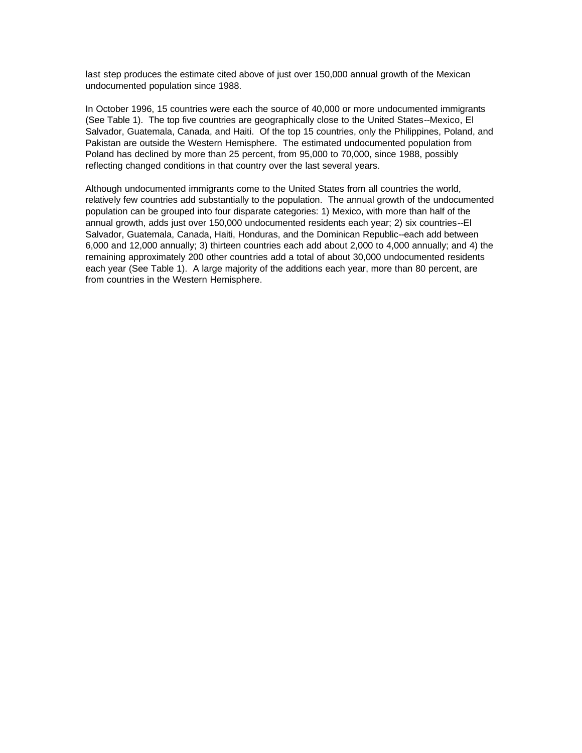last step produces the estimate cited above of just over 150,000 annual growth of the Mexican undocumented population since 1988.

In October 1996, 15 countries were each the source of 40,000 or more undocumented immigrants (See Table 1). The top five countries are geographically close to the United States--Mexico, El Salvador, Guatemala, Canada, and Haiti. Of the top 15 countries, only the Philippines, Poland, and Pakistan are outside the Western Hemisphere. The estimated undocumented population from Poland has declined by more than 25 percent, from 95,000 to 70,000, since 1988, possibly reflecting changed conditions in that country over the last several years.

Although undocumented immigrants come to the United States from all countries the world, relatively few countries add substantially to the population. The annual growth of the undocumented population can be grouped into four disparate categories: 1) Mexico, with more than half of the annual growth, adds just over 150,000 undocumented residents each year; 2) six countries--El Salvador, Guatemala, Canada, Haiti, Honduras, and the Dominican Republic--each add between 6,000 and 12,000 annually; 3) thirteen countries each add about 2,000 to 4,000 annually; and 4) the remaining approximately 200 other countries add a total of about 30,000 undocumented residents each year (See Table 1). A large majority of the additions each year, more than 80 percent, are from countries in the Western Hemisphere.